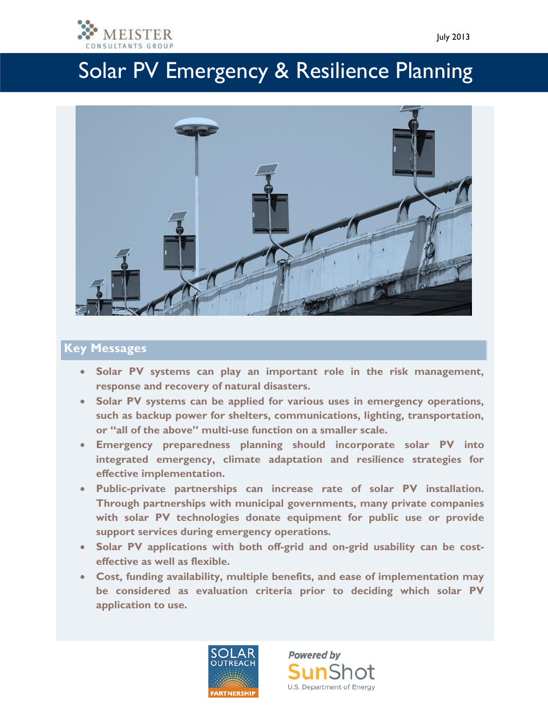



### **Key Messages**

- **Solar PV systems can play an important role in the risk management, response and recovery of natural disasters.**
- **Solar PV systems can be applied for various uses in emergency operations, such as backup power for shelters, communications, lighting, transportation, or "all of the above" multi-use function on a smaller scale.**
- **Emergency preparedness planning should incorporate solar PV into integrated emergency, climate adaptation and resilience strategies for effective implementation.**
- **Public-private partnerships can increase rate of solar PV installation. Through partnerships with municipal governments, many private companies with solar PV technologies donate equipment for public use or provide support services during emergency operations.**
- **Solar PV applications with both off-grid and on-grid usability can be costeffective as well as flexible.**
- **Cost, funding availability, multiple benefits, and ease of implementation may be considered as evaluation criteria prior to deciding which solar PV application to use.**



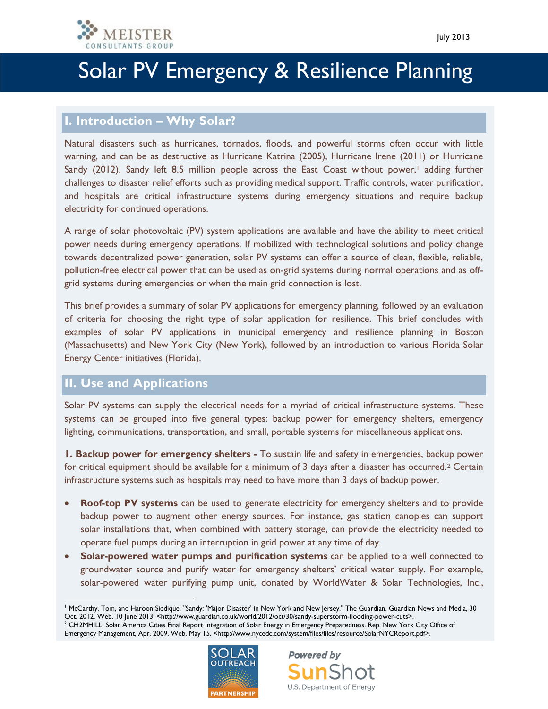

### **I. Introduction – Why Solar?**

Natural disasters such as hurricanes, tornados, floods, and powerful storms often occur with little warning, and can be as destructive as Hurricane Katrina (2005), Hurricane Irene (2011) or Hurricane Sandy (2012). Sandy left 8.5 million people across the East Coast without power,<sup>1</sup> adding further challenges to disaster relief efforts such as providing medical support. Traffic controls, water purification, and hospitals are critical infrastructure systems during emergency situations and require backup electricity for continued operations.

A range of solar photovoltaic (PV) system applications are available and have the ability to meet critical power needs during emergency operations. If mobilized with technological solutions and policy change towards decentralized power generation, solar PV systems can offer a source of clean, flexible, reliable, pollution-free electrical power that can be used as on-grid systems during normal operations and as offgrid systems during emergencies or when the main grid connection is lost.

This brief provides a summary of solar PV applications for emergency planning, followed by an evaluation of criteria for choosing the right type of solar application for resilience. This brief concludes with examples of solar PV applications in municipal emergency and resilience planning in Boston (Massachusetts) and New York City (New York), followed by an introduction to various Florida Solar Energy Center initiatives (Florida).

### **II. Use and Applications**

Solar PV systems can supply the electrical needs for a myriad of critical infrastructure systems. These systems can be grouped into five general types: backup power for emergency shelters, emergency lighting, communications, transportation, and small, portable systems for miscellaneous applications.

**1. Backup power for emergency shelters -** To sustain life and safety in emergencies, backup power for critical equipment should be available for a minimum of 3 days after a disaster has occurred.<sup>2</sup> Certain infrastructure systems such as hospitals may need to have more than 3 days of backup power.

- **Roof-top PV systems** can be used to generate electricity for emergency shelters and to provide backup power to augment other energy sources. For instance, gas station canopies can support solar installations that, when combined with battery storage, can provide the electricity needed to operate fuel pumps during an interruption in grid power at any time of day.
- **Solar-powered water pumps and purification systems** can be applied to a well connected to groundwater source and purify water for emergency shelters' critical water supply. For example, solar-powered water purifying pump unit, donated by WorldWater & Solar Technologies, Inc.,

<sup>&</sup>lt;sup>2</sup> CH2MHILL. Solar America Cities Final Report Integration of Solar Energy in Emergency Preparedness. Rep. New York City Office of Emergency Management, Apr. 2009. Web. May 15. <http://www.nycedc.com/system/files/files/resource/SolarNYCReport.pdf>.





 $\overline{a}$ <sup>1</sup> McCarthy, Tom, and Haroon Siddique. "Sandy: 'Major Disaster' in New York and New Jersey." The Guardian. Guardian News and Media, 30 Oct. 2012. Web. 10 June 2013. <http://www.guardian.co.uk/world/2012/oct/30/sandy-superstorm-flooding-power-cuts>.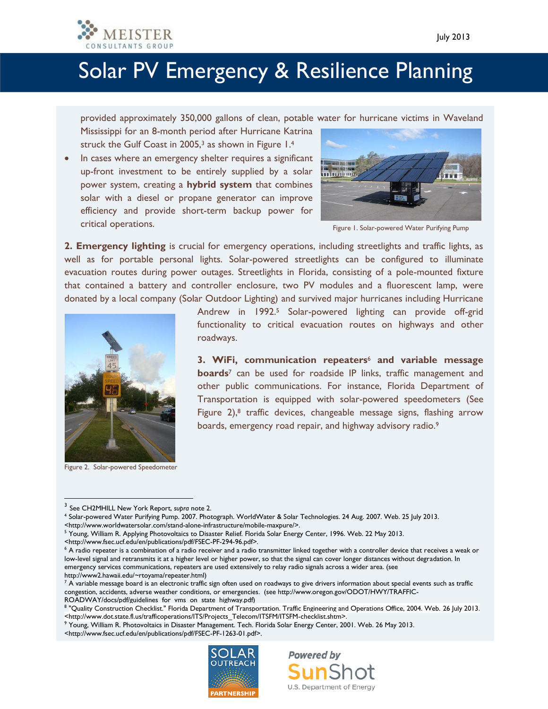

provided approximately 350,000 gallons of clean, potable water for hurricane victims in Waveland

Mississippi for an 8-month period after Hurricane Katrina struck the Gulf Coast in 2005,<sup>3</sup> as shown in Figure 1.4

In cases where an emergency shelter requires a significant up-front investment to be entirely supplied by a solar power system, creating a **hybrid system** that combines solar with a diesel or propane generator can improve efficiency and provide short-term backup power for critical operations.



Figure 1. Solar-powered Water Purifying Pump

**2. Emergency lighting** is crucial for emergency operations, including streetlights and traffic lights, as well as for portable personal lights. Solar-powered streetlights can be configured to illuminate evacuation routes during power outages. Streetlights in Florida, consisting of a pole-mounted fixture that contained a battery and controller enclosure, two PV modules and a fluorescent lamp, were donated by a local company (Solar Outdoor Lighting) and survived major hurricanes including Hurricane



Figure 2. Solar-powered Speedometer

 $\overline{a}$ 

Andrew in 1992.<sup>5</sup> Solar-powered lighting can provide off-grid functionality to critical evacuation routes on highways and other roadways.

**3. WiFi, communication repeaters**<sup>6</sup> **and variable message boards**<sup>7</sup> can be used for roadside IP links, traffic management and other public communications. For instance, Florida Department of Transportation is equipped with solar-powered speedometers (See Figure  $2$ ),<sup>8</sup> traffic devices, changeable message signs, flashing arrow boards, emergency road repair, and highway advisory radio.<sup>9</sup>

<http://www.fsec.ucf.edu/en/publications/pdf/FSEC-PF-294-96.pdf>.

**Powered by** 

U.S. Department of Energy

<sup>&</sup>lt;http://www.fsec.ucf.edu/en/publications/pdf/FSEC-PF-1263-01.pdf>.



<sup>3</sup> See CH2MHILL New York Report, *supra* note 2.

<sup>4</sup> Solar-powered Water Purifying Pump. 2007. Photograph. WorldWater & Solar Technologies. 24 Aug. 2007. Web. 25 July 2013. <http://www.worldwatersolar.com/stand-alone-infrastructure/mobile-maxpure/>.

<sup>5</sup> Young, William R. Applying Photovoltaics to Disaster Relief. Florida Solar Energy Center, 1996. Web. 22 May 2013.

<sup>&</sup>lt;sup>6</sup> A radio repeater is a combination of a radio receiver and a radio transmitter linked together with a controller device that receives a weak or low-level signal and retransmits it at a higher level or higher power, so that the signal can cover longer distances without degradation. In emergency services communications, repeaters are used extensively to relay radio signals across a wider area. (see http://www2.hawaii.edu/~rtoyama/repeater.html)

 $^7$  A variable message board is an electronic traffic sign often used on roadways to give drivers information about special events such as traffic congestion, accidents, adverse weather conditions, or emergencies. (see http://www.oregon.gov/ODOT/HWY/TRAFFIC-ROADWAY/docs/pdf/guidelines\_for\_vms\_on\_state\_highway.pdf)

<sup>8</sup> "Quality Construction Checklist." Florida Department of Transportation. Traffic Engineering and Operations Office, 2004. Web. 26 July 2013. <http://www.dot.state.fl.us/trafficoperations/ITS/Projects\_Telecom/ITSFM/ITSFM-checklist.shtm>.

<sup>9</sup> Young, William R. Photovoltaics in Disaster Management. Tech. Florida Solar Energy Center, 2001. Web. 26 May 2013.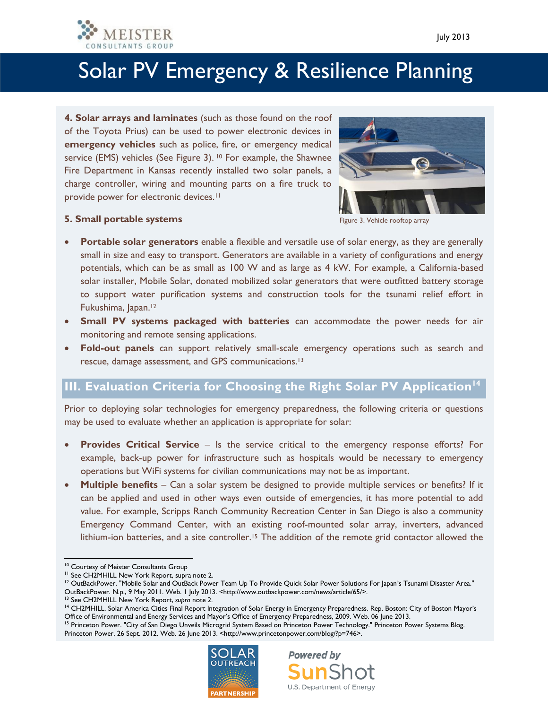

**4. Solar arrays and laminates** (such as those found on the roof of the Toyota Prius) can be used to power electronic devices in **emergency vehicles** such as police, fire, or emergency medical service (EMS) vehicles (See Figure 3). <sup>10</sup> For example, the Shawnee Fire Department in Kansas recently installed two solar panels, a charge controller, wiring and mounting parts on a fire truck to provide power for electronic devices.<sup>11</sup>



Figure 3. Vehicle rooftop array

#### **5. Small portable systems**

- **Portable solar generators** enable a flexible and versatile use of solar energy, as they are generally small in size and easy to transport. Generators are available in a variety of configurations and energy potentials, which can be as small as 100 W and as large as 4 kW. For example, a California-based solar installer, Mobile Solar, donated mobilized solar generators that were outfitted battery storage to support water purification systems and construction tools for the tsunami relief effort in Fukushima, Japan. 12
- **Small PV systems packaged with batteries** can accommodate the power needs for air monitoring and remote sensing applications.
- **Fold-out panels** can support relatively small-scale emergency operations such as search and rescue, damage assessment, and GPS communications.<sup>13</sup>

### **III. Evaluation Criteria for Choosing the Right Solar PV Application<sup>14</sup>**

Prior to deploying solar technologies for emergency preparedness, the following criteria or questions may be used to evaluate whether an application is appropriate for solar:

- **Provides Critical Service**  Is the service critical to the emergency response efforts? For example, back-up power for infrastructure such as hospitals would be necessary to emergency operations but WiFi systems for civilian communications may not be as important.
- **Multiple benefits** Can a solar system be designed to provide multiple services or benefits? If it can be applied and used in other ways even outside of emergencies, it has more potential to add value. For example, Scripps Ranch Community Recreation Center in San Diego is also a community Emergency Command Center, with an existing roof-mounted solar array, inverters, advanced lithium-ion batteries, and a site controller.<sup>15</sup> The addition of the remote grid contactor allowed the

 $\overline{a}$ 

<sup>13</sup> See CH2MHILL New York Report, *supra* note 2.

<sup>&</sup>lt;sup>15</sup> Princeton Power. "City of San Diego Unveils Microgrid System Based on Princeton Power Technology." Princeton Power Systems Blog. Princeton Power, 26 Sept. 2012. Web. 26 June 2013. <http://www.princetonpower.com/blog/?p=746>.





<sup>10</sup> Courtesy of Meister Consultants Group

<sup>&</sup>lt;sup>11</sup> See CH2MHILL New York Report, supra note 2.

<sup>&</sup>lt;sup>12</sup> OutBackPower. "Mobile Solar and OutBack Power Team Up To Provide Quick Solar Power Solutions For Japan's Tsunami Disaster Area." OutBackPower. N.p., 9 May 2011. Web. 1 July 2013. <http://www.outbackpower.com/news/article/65/>.

<sup>&</sup>lt;sup>14</sup> CH2MHILL. Solar America Cities Final Report Integration of Solar Energy in Emergency Preparedness. Rep. Boston: City of Boston Mayor's Office of Environmental and Energy Services and Mayor's Office of Emergency Preparedness, 2009. Web. 06 June 2013.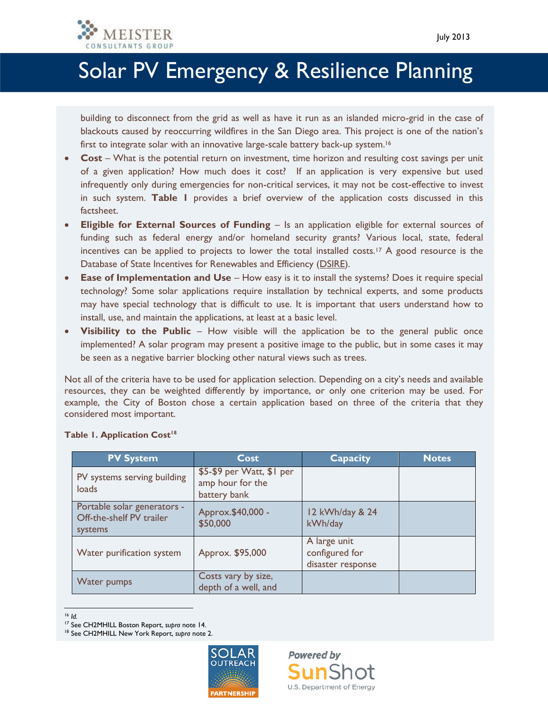

building to disconnect from the grid as well as have it run as an islanded micro-grid in the case of blackouts caused by reoccurring wildfires in the San Diego area. This project is one of the nation's first to integrate solar with an innovative large-scale battery back-up system.<sup>16</sup>

- **Cost**  What is the potential return on investment, time horizon and resulting cost savings per unit of a given application? How much does it cost? If an application is very expensive but used infrequently only during emergencies for non-critical services, it may not be cost-effective to invest in such system. **Table 1** provides a brief overview of the application costs discussed in this factsheet.
- **Eligible for External Sources of Funding** Is an application eligible for external sources of funding such as federal energy and/or homeland security grants? Various local, state, federal incentives can be applied to projects to lower the total installed costs.<sup>17</sup> A good resource is the Database of State Incentives for Renewables and Efficiency [\(DSIRE\)](http://www.dsireusa.org/).
- **Ease of Implementation and Use** How easy is it to install the systems? Does it require special technology? Some solar applications require installation by technical experts, and some products may have special technology that is difficult to use. It is important that users understand how to install, use, and maintain the applications, at least at a basic level.
- **Visibility to the Public** How visible will the application be to the general public once implemented? A solar program may present a positive image to the public, but in some cases it may be seen as a negative barrier blocking other natural views such as trees.

Not all of the criteria have to be used for application selection. Depending on a city's needs and available resources, they can be weighted differently by importance, or only one criterion may be used. For example, the City of Boston chose a certain application based on three of the criteria that they considered most important.

| <b>PV System</b>                                                   | Cost                                                          | <b>Capacity</b>                                     | <b>Notes</b> |
|--------------------------------------------------------------------|---------------------------------------------------------------|-----------------------------------------------------|--------------|
| PV systems serving building<br>loads                               | \$5-\$9 per Watt, \$1 per<br>amp hour for the<br>battery bank |                                                     |              |
| Portable solar generators -<br>Off-the-shelf PV trailer<br>systems | Approx. \$40,000 -<br>\$50,000                                | 12 kWh/day & 24<br>kWh/day                          |              |
| Water purification system                                          | Approx. \$95,000                                              | A large unit<br>configured for<br>disaster response |              |
| <b>Water pumps</b>                                                 | Costs vary by size,<br>depth of a well, and                   |                                                     |              |

#### **Table 1. Application Cost<sup>18</sup>**

<sup>18</sup> See CH2MHILL New York Report, *supra* note 2.



 $\overline{a}$ <sup>16</sup> *Id.*

<sup>17</sup> See CH2MHILL Boston Report, *supra* note 14.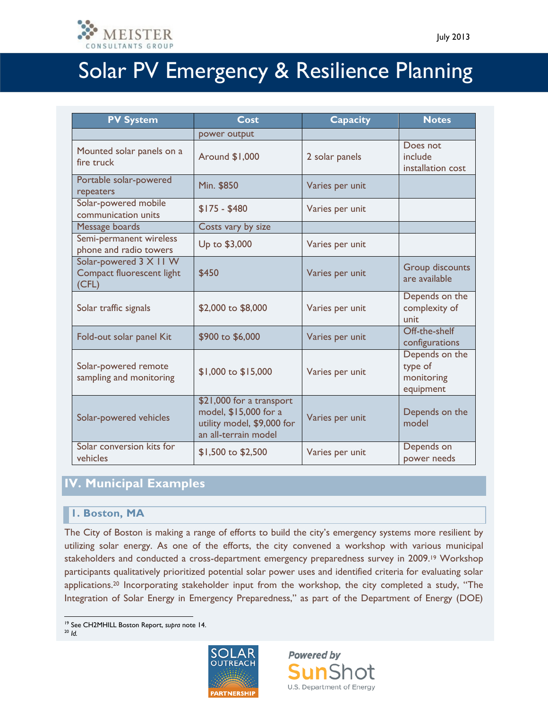

| <b>PV System</b>                                             | Cost                                                                                                    | <b>Capacity</b> | <b>Notes</b>                                         |
|--------------------------------------------------------------|---------------------------------------------------------------------------------------------------------|-----------------|------------------------------------------------------|
|                                                              | power output                                                                                            |                 |                                                      |
| Mounted solar panels on a<br>fire truck                      | Around \$1,000                                                                                          | 2 solar panels  | Does not<br>include<br>installation cost             |
| Portable solar-powered<br>repeaters                          | Min. \$850                                                                                              | Varies per unit |                                                      |
| Solar-powered mobile<br>communication units                  | $$175 - $480$                                                                                           | Varies per unit |                                                      |
| Message boards                                               | Costs vary by size                                                                                      |                 |                                                      |
| Semi-permanent wireless<br>phone and radio towers            | Up to \$3,000                                                                                           | Varies per unit |                                                      |
| Solar-powered 3 X 11 W<br>Compact fluorescent light<br>(CFL) | \$450                                                                                                   | Varies per unit | <b>Group discounts</b><br>are available              |
| Solar traffic signals                                        | \$2,000 to \$8,000                                                                                      | Varies per unit | Depends on the<br>complexity of<br>unit              |
| Fold-out solar panel Kit                                     | \$900 to \$6,000                                                                                        | Varies per unit | Off-the-shelf<br>configurations                      |
| Solar-powered remote<br>sampling and monitoring              | \$1,000 to \$15,000                                                                                     | Varies per unit | Depends on the<br>type of<br>monitoring<br>equipment |
| Solar-powered vehicles                                       | \$21,000 for a transport<br>model, \$15,000 for a<br>utility model, \$9,000 for<br>an all-terrain model | Varies per unit | Depends on the<br>model                              |
| Solar conversion kits for<br>vehicles                        | \$1,500 to \$2,500                                                                                      | Varies per unit | Depends on<br>power needs                            |

### **IV. Municipal Examples**

#### **1. Boston, MA**

The City of Boston is making a range of efforts to build the city's emergency systems more resilient by utilizing solar energy. As one of the efforts, the city convened a workshop with various municipal stakeholders and conducted a cross-department emergency preparedness survey in 2009.<sup>19</sup> Workshop participants qualitatively prioritized potential solar power uses and identified criteria for evaluating solar applications.<sup>20</sup> Incorporating stakeholder input from the workshop, the city completed a study, "The Integration of Solar Energy in Emergency Preparedness," as part of the Department of Energy (DOE)

<sup>20</sup> *Id.*



**Powered by**  ${\sf sunS}$ U.S. Department of Energy

 $\overline{a}$ <sup>19</sup> See CH2MHILL Boston Report, *supra* note 14.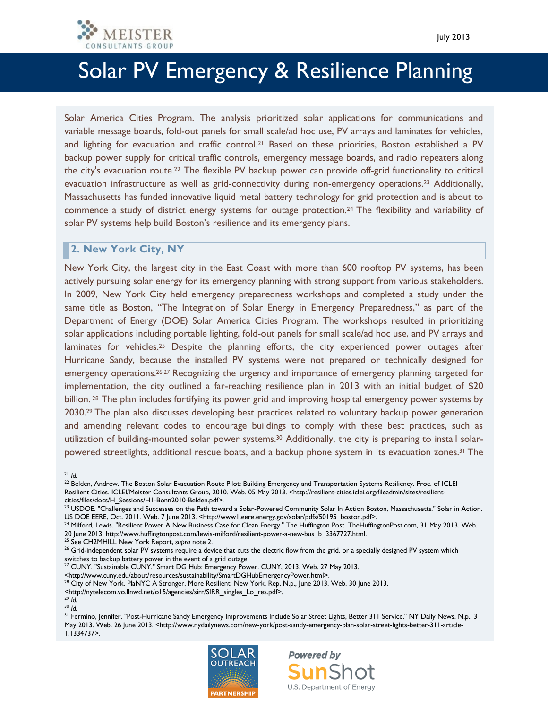

Solar America Cities Program. The analysis prioritized solar applications for communications and variable message boards, fold-out panels for small scale/ad hoc use, PV arrays and laminates for vehicles, and lighting for evacuation and traffic control.<sup>21</sup> Based on these priorities, Boston established a PV backup power supply for critical traffic controls, emergency message boards, and radio repeaters along the city's evacuation route.<sup>22</sup> The flexible PV backup power can provide off-grid functionality to critical evacuation infrastructure as well as grid-connectivity during non-emergency operations.<sup>23</sup> Additionally, Massachusetts has funded innovative liquid metal battery technology for grid protection and is about to commence a study of district energy systems for outage protection.<sup>24</sup> The flexibility and variability of solar PV systems help build Boston's resilience and its emergency plans.

#### **2. New York City, NY**

New York City, the largest city in the East Coast with more than 600 rooftop PV systems, has been actively pursuing solar energy for its emergency planning with strong support from various stakeholders. In 2009, New York City held emergency preparedness workshops and completed a study under the same title as Boston, "The Integration of Solar Energy in Emergency Preparedness," as part of the Department of Energy (DOE) Solar America Cities Program. The workshops resulted in prioritizing solar applications including portable lighting, fold-out panels for small scale/ad hoc use, and PV arrays and laminates for vehicles.<sup>25</sup> Despite the planning efforts, the city experienced power outages after Hurricane Sandy, because the installed PV systems were not prepared or technically designed for emergency operations.<sup>26,27</sup> Recognizing the urgency and importance of emergency planning targeted for implementation, the city outlined a far-reaching resilience plan in 2013 with an initial budget of \$20 billion. <sup>28</sup> The plan includes fortifying its power grid and improving hospital emergency power systems by 2030.<sup>29</sup> The plan also discusses developing best practices related to voluntary backup power generation and amending relevant codes to encourage buildings to comply with these best practices, such as utilization of building-mounted solar power systems.<sup>30</sup> Additionally, the city is preparing to install solarpowered streetlights, additional rescue boats, and a backup phone system in its evacuation zones.<sup>31</sup> The

<sup>25</sup> See CH2MHILL New York Report, *supra* note 2.

<http://www.cuny.edu/about/resources/sustainability/SmartDGHubEmergencyPower.html>.

<sup>28</sup> City of New York. PlaNYC A Stronger, More Resilient, New York. Rep. N.p., June 2013. Web. 30 June 2013.

**Powered by** 

U.S. Department of Energy



l <sup>21</sup> *Id.*

<sup>&</sup>lt;sup>22</sup> Belden, Andrew. The Boston Solar Evacuation Route Pilot: Building Emergency and Transportation Systems Resiliency. Proc. of ICLEI Resilient Cities. ICLEI/Meister Consultants Group, 2010. Web. 05 May 2013. <http://resilient-cities.iclei.org/fileadmin/sites/resilientcities/files/docs/H\_Sessions/H1-Bonn2010-Belden.pdf>.

 $^{23}$  USDOE. "Challenges and Successes on the Path toward a Solar-Powered Community Solar In Action Boston, Massachusetts." Solar in Action. US DOE EERE, Oct. 2011. Web. 7 June 2013. <http://www1.eere.energy.gov/solar/pdfs/50195\_boston.pdf>.

 $^{24}$  Milford, Lewis. "Resilient Power A New Business Case for Clean Energy." The Huffington Post. TheHuffingtonPost.com, 31 May 2013. Web. 20 June 2013. http://www.huffingtonpost.com/lewis-milford/resilient-power-a-new-bus\_b\_3367727.html.

<sup>&</sup>lt;sup>26</sup> Grid-independent solar PV systems require a device that cuts the electric flow from the grid, or a specially designed PV system which switches to backup battery power in the event of a grid outage.

<sup>&</sup>lt;sup>27</sup> CUNY. "Sustainable CUNY." Smart DG Hub: Emergency Power. CUNY, 2013. Web. 27 May 2013.

<sup>&</sup>lt;http://nytelecom.vo.llnwd.net/o15/agencies/sirr/SIRR\_singles\_Lo\_res.pdf>.

<sup>29</sup> *Id.* <sup>30</sup> *Id.*

<sup>&</sup>lt;sup>31</sup> Fermino, Jennifer. "Post-Hurricane Sandy Emergency Improvements Include Solar Street Lights, Better 311 Service." NY Daily News. N.p., 3 May 2013. Web. 26 June 2013. <http://www.nydailynews.com/new-york/post-sandy-emergency-plan-solar-street-lights-better-311-article-1.1334737>.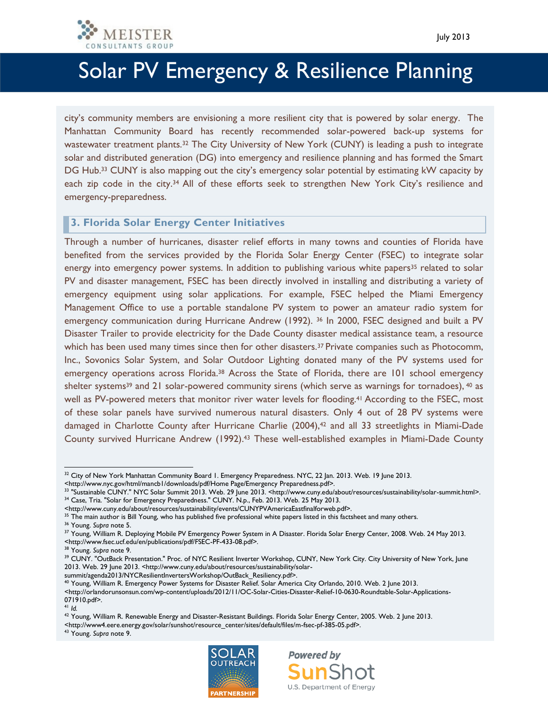

city's community members are envisioning a more resilient city that is powered by solar energy. The Manhattan Community Board has recently recommended solar-powered back-up systems for wastewater treatment plants.<sup>32</sup> The City University of New York (CUNY) is leading a push to integrate solar and distributed generation (DG) into emergency and resilience planning and has formed the Smart DG Hub.<sup>33</sup> CUNY is also mapping out the city's emergency solar potential by estimating kW capacity by each zip code in the city.<sup>34</sup> All of these efforts seek to strengthen New York City's resilience and emergency-preparedness.

#### **3. Florida Solar Energy Center Initiatives**

Through a number of hurricanes, disaster relief efforts in many towns and counties of Florida have benefited from the services provided by the Florida Solar Energy Center (FSEC) to integrate solar energy into emergency power systems. In addition to publishing various white papers<sup>35</sup> related to solar PV and disaster management, FSEC has been directly involved in installing and distributing a variety of emergency equipment using solar applications. For example, FSEC helped the Miami Emergency Management Office to use a portable standalone PV system to power an amateur radio system for emergency communication during Hurricane Andrew (1992). <sup>36</sup> In 2000, FSEC designed and built a PV Disaster Trailer to provide electricity for the Dade County disaster medical assistance team, a resource which has been used many times since then for other disasters.<sup>37</sup> Private companies such as Photocomm, Inc., Sovonics Solar System, and Solar Outdoor Lighting donated many of the PV systems used for emergency operations across Florida.<sup>38</sup> Across the State of Florida, there are 101 school emergency shelter systems<sup>39</sup> and 21 solar-powered community sirens (which serve as warnings for tornadoes), <sup>40</sup> as well as PV-powered meters that monitor river water levels for flooding.<sup>41</sup> According to the FSEC, most of these solar panels have survived numerous natural disasters. Only 4 out of 28 PV systems were damaged in Charlotte County after Hurricane Charlie (2004),<sup>42</sup> and all 33 streetlights in Miami-Dade County survived Hurricane Andrew (1992). <sup>43</sup> These well-established examples in Miami-Dade County

summit/agenda2013/NYCResilientInvertersWorkshop/OutBack\_Resiliency.pdf>. <sup>40</sup> Young, William R. Emergency Power Systems for Disaster Relief. Solar America City Orlando, 2010. Web. 2 June 2013.

l

<sup>43</sup> Young. *Supra* note 9.





<sup>&</sup>lt;sup>32</sup> City of New York Manhattan Community Board 1. Emergency Preparedness. NYC, 22 Jan. 2013. Web. 19 June 2013.

<sup>&</sup>lt;http://www.nyc.gov/html/mancb1/downloads/pdf/Home Page/Emergency Preparedness.pdf>.

<sup>33</sup> "Sustainable CUNY." NYC Solar Summit 2013. Web. 29 June 2013. <http://www.cuny.edu/about/resources/sustainability/solar-summit.html>. <sup>34</sup> Case, Tria. "Solar for Emergency Preparedness." CUNY. N.p., Feb. 2013. Web. 25 May 2013.

<sup>&</sup>lt;http://www.cuny.edu/about/resources/sustainability/events/CUNYPVAmericaEastfinalforweb.pdf>.

<sup>&</sup>lt;sup>35</sup> The main author is Bill Young, who has published five professional white papers listed in this factsheet and many others.

<sup>36</sup> Young. *Supra* note 5.

<sup>37</sup> Young, William R. Deploying Mobile PV Emergency Power System in A Disaster. Florida Solar Energy Center, 2008. Web. 24 May 2013. <http://www.fsec.ucf.edu/en/publications/pdf/FSEC-PF-433-08.pdf>.

<sup>38</sup> Young. *Supra* note 9.

<sup>&</sup>lt;sup>39</sup> CUNY. "OutBack Presentation." Proc. of NYC Resilient Inverter Workshop, CUNY, New York City. City University of New York, June 2013. Web. 29 June 2013. <http://www.cuny.edu/about/resources/sustainability/solar-

<sup>&</sup>lt;http://orlandorunsonsun.com/wp-content/uploads/2012/11/OC-Solar-Cities-Disaster-Relief-10-0630-Roundtable-Solar-Applications-071910.pdf>.

<sup>41</sup> *Id.*

<sup>42</sup> Young, William R. Renewable Energy and Disaster-Resistant Buildings. Florida Solar Energy Center, 2005. Web. 2 June 2013. <http://www4.eere.energy.gov/solar/sunshot/resource\_center/sites/default/files/m-fsec-pf-385-05.pdf>.